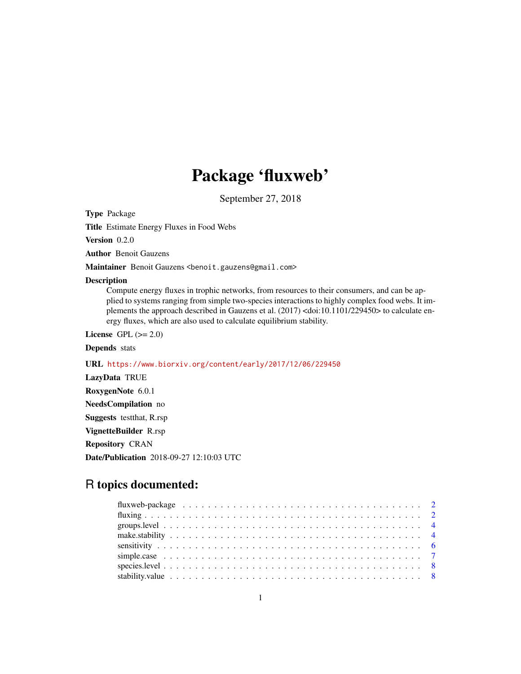## Package 'fluxweb'

September 27, 2018

<span id="page-0-0"></span>Type Package

Title Estimate Energy Fluxes in Food Webs

Version 0.2.0

Author Benoit Gauzens

Maintainer Benoit Gauzens <benoit.gauzens@gmail.com>

#### Description

Compute energy fluxes in trophic networks, from resources to their consumers, and can be applied to systems ranging from simple two-species interactions to highly complex food webs. It implements the approach described in Gauzens et al. (2017) <doi:10.1101/229450> to calculate energy fluxes, which are also used to calculate equilibrium stability.

License GPL  $(>= 2.0)$ 

#### Depends stats

URL <https://www.biorxiv.org/content/early/2017/12/06/229450>

LazyData TRUE RoxygenNote 6.0.1 NeedsCompilation no Suggests testthat, R.rsp VignetteBuilder R.rsp Repository CRAN

Date/Publication 2018-09-27 12:10:03 UTC

### R topics documented:

| stability.value $\ldots \ldots \ldots \ldots \ldots \ldots \ldots \ldots \ldots \ldots \ldots \ldots \ldots$ |  |
|--------------------------------------------------------------------------------------------------------------|--|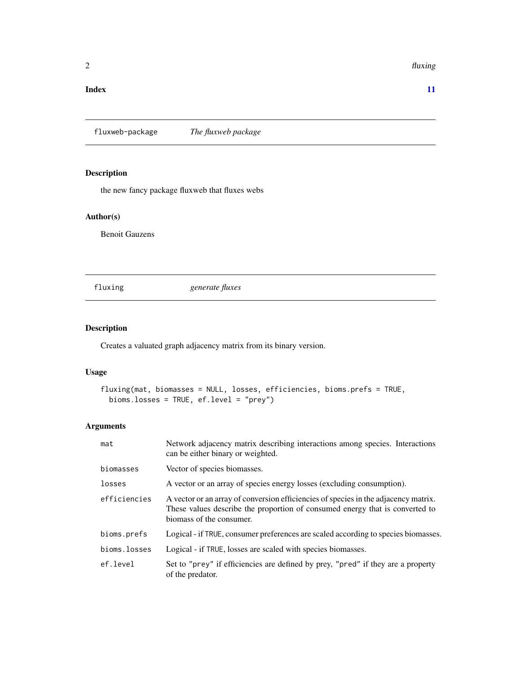#### <span id="page-1-0"></span> $2$  fluxing the state of  $\alpha$  fluxing the state of  $\alpha$  fluxing the state of  $\alpha$  fluxing the state of  $\alpha$

#### **Index** [11](#page-10-0)

fluxweb-package *The fluxweb package*

#### Description

the new fancy package fluxweb that fluxes webs

#### Author(s)

Benoit Gauzens

<span id="page-1-1"></span>fluxing *generate fluxes*

#### Description

Creates a valuated graph adjacency matrix from its binary version.

#### Usage

```
fluxing(mat, biomasses = NULL, losses, efficiencies, bioms.prefs = TRUE,
 bioms.losses = TRUE, ef.level = "prey")
```
#### Arguments

| mat          | Network adjacency matrix describing interactions among species. Interactions<br>can be either binary or weighted.                                                                               |
|--------------|-------------------------------------------------------------------------------------------------------------------------------------------------------------------------------------------------|
| biomasses    | Vector of species biomasses.                                                                                                                                                                    |
| losses       | A vector or an array of species energy losses (excluding consumption).                                                                                                                          |
| efficiencies | A vector or an array of conversion efficiencies of species in the adjacency matrix.<br>These values describe the proportion of consumed energy that is converted to<br>biomass of the consumer. |
| bioms.prefs  | Logical - if TRUE, consumer preferences are scaled according to species biomasses.                                                                                                              |
| bioms.losses | Logical - if TRUE, losses are scaled with species biomasses.                                                                                                                                    |
| ef.level     | Set to "prey" if efficiencies are defined by prey, "pred" if they are a property<br>of the predator.                                                                                            |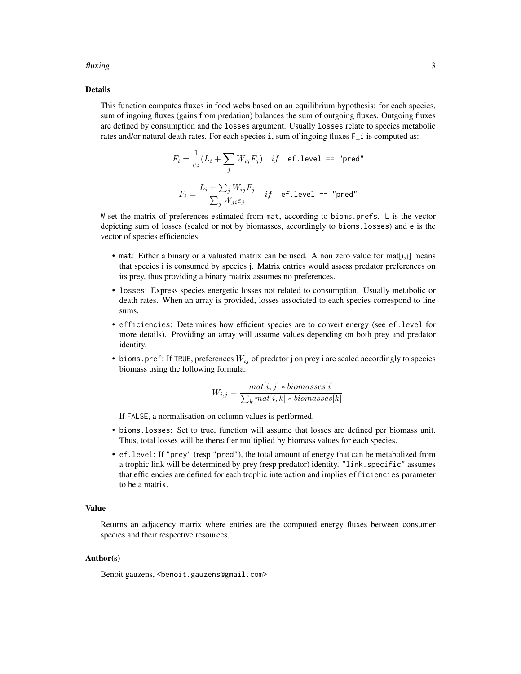#### fluxing 3

#### Details

This function computes fluxes in food webs based on an equilibrium hypothesis: for each species, sum of ingoing fluxes (gains from predation) balances the sum of outgoing fluxes. Outgoing fluxes are defined by consumption and the losses argument. Usually losses relate to species metabolic rates and/or natural death rates. For each species i, sum of ingoing fluxes  $F_i$  is computed as:

$$
F_i = \frac{1}{e_i}(L_i + \sum_j W_{ij}F_j) \quad if \quad \text{ef. level} = \text{"pred"}
$$
\n
$$
F_i = \frac{L_i + \sum_j W_{ij}F_j}{\sum_j W_{ji}e_j} \quad if \quad \text{ef. level} = \text{"pred"}
$$

W set the matrix of preferences estimated from mat, according to bioms.prefs. L is the vector depicting sum of losses (scaled or not by biomasses, accordingly to bioms.losses) and e is the vector of species efficiencies.

- mat: Either a binary or a valuated matrix can be used. A non zero value for mat[i,j] means that species i is consumed by species j. Matrix entries would assess predator preferences on its prey, thus providing a binary matrix assumes no preferences.
- losses: Express species energetic losses not related to consumption. Usually metabolic or death rates. When an array is provided, losses associated to each species correspond to line sums.
- efficiencies: Determines how efficient species are to convert energy (see ef.level for more details). Providing an array will assume values depending on both prey and predator identity.
- bioms. pref: If TRUE, preferences  $W_{ij}$  of predator j on prey i are scaled accordingly to species biomass using the following formula:

$$
W_{i,j} = \frac{mat[i,j] * biomasses[i]}{\sum_{k}mat[i,k] * biomasses[k]}
$$

If FALSE, a normalisation on column values is performed.

- bioms.losses: Set to true, function will assume that losses are defined per biomass unit. Thus, total losses will be thereafter multiplied by biomass values for each species.
- ef.level: If "prey" (resp "pred"), the total amount of energy that can be metabolized from a trophic link will be determined by prey (resp predator) identity. "link.specific" assumes that efficiencies are defined for each trophic interaction and implies efficiencies parameter to be a matrix.

#### Value

Returns an adjacency matrix where entries are the computed energy fluxes between consumer species and their respective resources.

#### Author(s)

Benoit gauzens, <benoit.gauzens@gmail.com>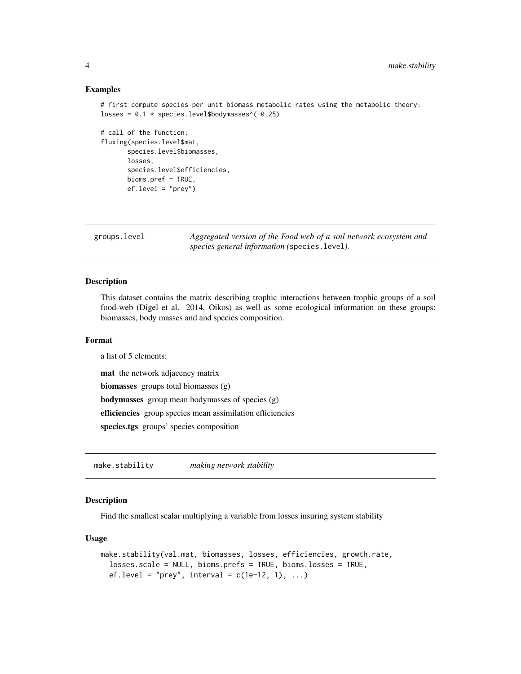#### Examples

```
# first compute species per unit biomass metabolic rates using the metabolic theory:
losses = 0.1 * species.level$bodymasses^(-0.25)
```

```
# call of the function:
fluxing(species.level$mat,
      species.level$biomasses,
      losses,
      species.level$efficiencies,
      bioms.pref = TRUE,
      ef.level = "prey")
```
groups.level *Aggregated version of the Food web of a soil network ecosystem and species general information (*species.level*).*

#### Description

This dataset contains the matrix describing trophic interactions between trophic groups of a soil food-web (Digel et al. 2014, Oikos) as well as some ecological information on these groups: biomasses, body masses and and species composition.

#### Format

a list of 5 elements:

mat the network adjacency matrix

biomasses groups total biomasses (g)

bodymasses group mean bodymasses of species (g)

efficiencies group species mean assimilation efficiencies

species.tgs groups' species composition

make.stability *making network stability*

#### Description

Find the smallest scalar multiplying a variable from losses insuring system stability

#### Usage

```
make.stability(val.mat, biomasses, losses, efficiencies, growth.rate,
  losses.scale = NULL, bioms.prefs = TRUE, bioms.losses = TRUE,
  ef. level = "prey", interval = c(1e-12, 1), ...
```
<span id="page-3-0"></span>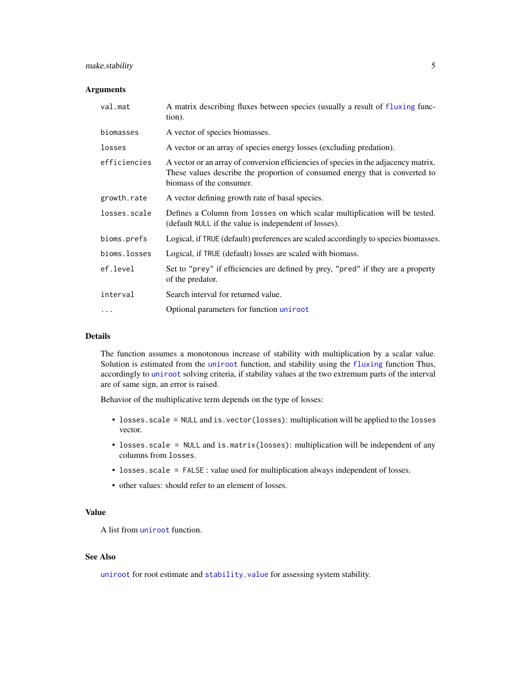#### <span id="page-4-0"></span>make.stability 5

#### **Arguments**

| val.mat      | A matrix describing fluxes between species (usually a result of fluxing func-<br>tion).                                                                                                         |
|--------------|-------------------------------------------------------------------------------------------------------------------------------------------------------------------------------------------------|
| biomasses    | A vector of species biomasses.                                                                                                                                                                  |
| losses       | A vector or an array of species energy losses (excluding predation).                                                                                                                            |
| efficiencies | A vector or an array of conversion efficiencies of species in the adjacency matrix.<br>These values describe the proportion of consumed energy that is converted to<br>biomass of the consumer. |
| growth.rate  | A vector defining growth rate of basal species.                                                                                                                                                 |
| losses.scale | Defines a Column from losses on which scalar multiplication will be tested.<br>(default NULL if the value is independent of losses).                                                            |
| bioms.prefs  | Logical, if TRUE (default) preferences are scaled accordingly to species biomasses.                                                                                                             |
| bioms.losses | Logical, if TRUE (default) losses are scaled with biomass.                                                                                                                                      |
| ef.level     | Set to "prey" if efficiencies are defined by prey, "pred" if they are a property<br>of the predator.                                                                                            |
| interval     | Search interval for returned value.                                                                                                                                                             |
| $\cdots$     | Optional parameters for function uniroot                                                                                                                                                        |

#### Details

The function assumes a monotonous increase of stability with multiplication by a scalar value. Solution is estimated from the [uniroot](#page-0-0) function, and stability using the [fluxing](#page-1-1) function Thus, accordingly to [uniroot](#page-0-0) solving criteria, if stability values at the two extremum parts of the interval are of same sign, an error is raised.

Behavior of the multiplicative term depends on the type of losses:

- losses.scale = NULL and is.vector(losses): multiplication will be applied to the losses vector.
- losses.scale = NULL and is.matrix(losses): multiplication will be independent of any columns from losses.
- losses.scale = FALSE : value used for multiplication always independent of losses.
- other values: should refer to an element of losses.

#### Value

A list from [uniroot](#page-0-0) function.

#### See Also

[uniroot](#page-0-0) for root estimate and stability. value for assessing system stability.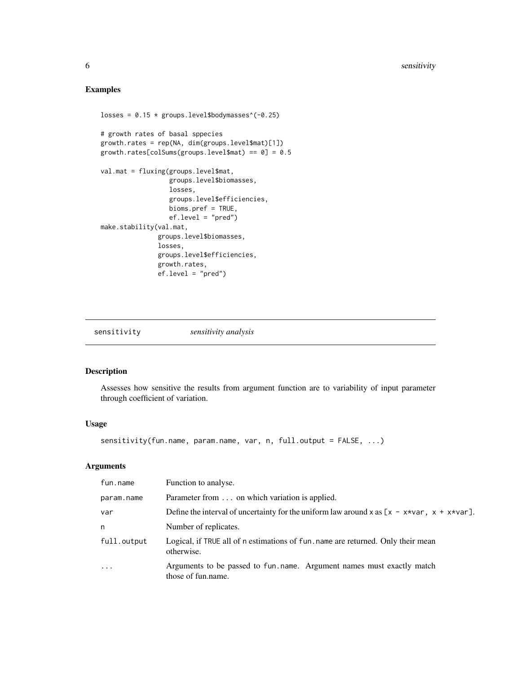#### <span id="page-5-0"></span>Examples

```
losses = 0.15 * groups.level$bodymasses^(-0.25)
# growth rates of basal sppecies
growth.rates = rep(NA, dim(groups.level$mat)[1])
growth.rates[colSums(groups.level$mat) == 0] = 0.5
val.mat = fluxing(groups.level$mat,
                  groups.level$biomasses,
                  losses,
                  groups.level$efficiencies,
                  bioms.pref = TRUE,
                  ef.level = "pred")
make.stability(val.mat,
               groups.level$biomasses,
               losses,
               groups.level$efficiencies,
               growth.rates,
               ef.level = "pred")
```
sensitivity *sensitivity analysis*

#### Description

Assesses how sensitive the results from argument function are to variability of input parameter through coefficient of variation.

#### Usage

```
sensitivity(fun.name, param.name, var, n, full.output = FALSE, ...)
```
#### Arguments

| fun.name    | Function to analyse.                                                                           |
|-------------|------------------------------------------------------------------------------------------------|
| param.name  | Parameter from on which variation is applied.                                                  |
| var         | Define the interval of uncertainty for the uniform law around x as $[x - x*var, x + x*var]$ .  |
| n           | Number of replicates.                                                                          |
| full.output | Logical, if TRUE all of n estimations of fun. name are returned. Only their mean<br>otherwise. |
| $\cdots$    | Arguments to be passed to fun. name. Argument names must exactly match<br>those of fun.name.   |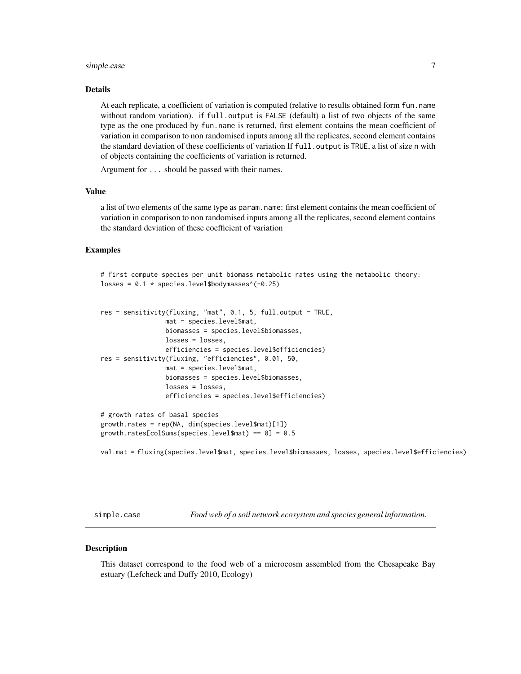#### <span id="page-6-0"></span>simple.case 7

#### Details

At each replicate, a coefficient of variation is computed (relative to results obtained form fun.name without random variation). if full.output is FALSE (default) a list of two objects of the same type as the one produced by fun.name is returned, first element contains the mean coefficient of variation in comparison to non randomised inputs among all the replicates, second element contains the standard deviation of these coefficients of variation If full. output is TRUE, a list of size n with of objects containing the coefficients of variation is returned.

Argument for ... should be passed with their names.

#### Value

a list of two elements of the same type as param.name: first element contains the mean coefficient of variation in comparison to non randomised inputs among all the replicates, second element contains the standard deviation of these coefficient of variation

#### Examples

```
# first compute species per unit biomass metabolic rates using the metabolic theory:
losses = 0.1 * species.level$bodymasses^(-0.25)
```

```
res = sensitivity(fluxing, "mat", 0.1, 5, full.output = TRUE,
                 mat = species.level$mat,
                 biomasses = species.level$biomasses,
                losses = losses,
                 efficiencies = species.level$efficiencies)
res = sensitivity(fluxing, "efficiencies", 0.01, 50,
                 mat = species.level$mat,
                 biomasses = species.level$biomasses,
                 losses = losses,
                 efficiencies = species.level$efficiencies)
# growth rates of basal species
```

```
growth.rates = rep(NA, dim(species.level$mat)[1])
growth.rates[colSums(species.level$mat) == 0] = 0.5
```
val.mat = fluxing(species.level\$mat, species.level\$biomasses, losses, species.level\$efficiencies)

simple.case *Food web of a soil network ecosystem and species general information.*

#### Description

This dataset correspond to the food web of a microcosm assembled from the Chesapeake Bay estuary (Lefcheck and Duffy 2010, Ecology)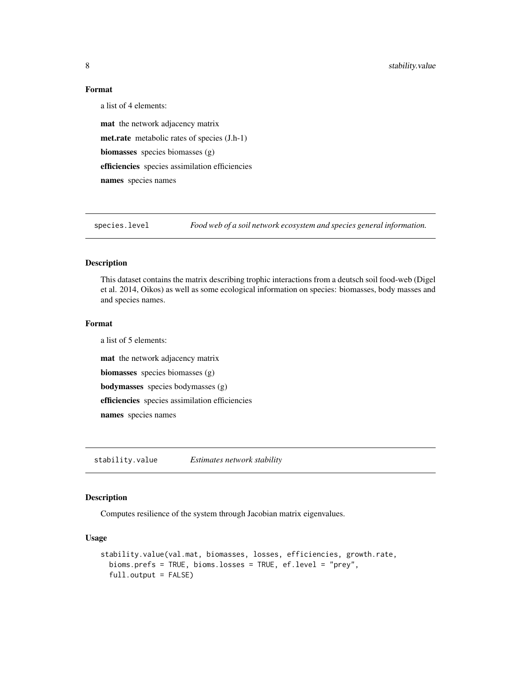#### Format

a list of 4 elements: mat the network adjacency matrix met.rate metabolic rates of species (J.h-1) biomasses species biomasses (g) efficiencies species assimilation efficiencies names species names

species.level *Food web of a soil network ecosystem and species general information.*

#### Description

This dataset contains the matrix describing trophic interactions from a deutsch soil food-web (Digel et al. 2014, Oikos) as well as some ecological information on species: biomasses, body masses and and species names.

#### Format

a list of 5 elements: mat the network adjacency matrix biomasses species biomasses (g) bodymasses species bodymasses (g) efficiencies species assimilation efficiencies names species names

<span id="page-7-1"></span>stability.value *Estimates network stability*

#### Description

Computes resilience of the system through Jacobian matrix eigenvalues.

#### Usage

```
stability.value(val.mat, biomasses, losses, efficiencies, growth.rate,
 bioms.prefs = TRUE, bioms.losses = TRUE, ef.level = "prey",
  full.output = FALSE)
```
<span id="page-7-0"></span>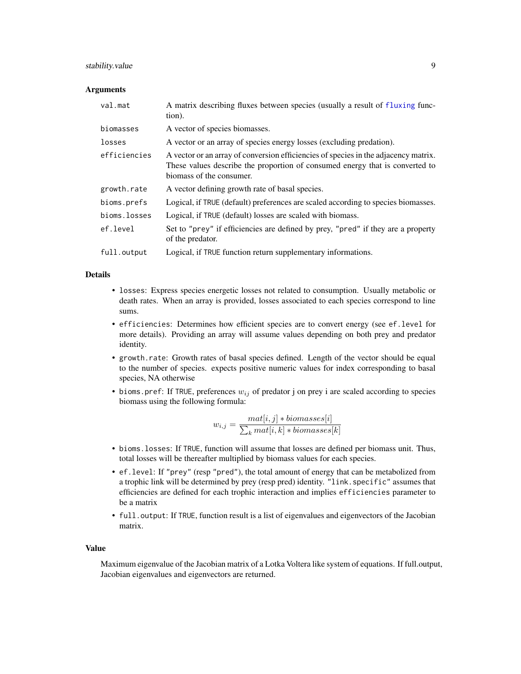#### <span id="page-8-0"></span>stability.value 9

#### **Arguments**

| val.mat      | A matrix describing fluxes between species (usually a result of fluxing func-<br>tion).                                                                                                         |
|--------------|-------------------------------------------------------------------------------------------------------------------------------------------------------------------------------------------------|
| biomasses    | A vector of species biomasses.                                                                                                                                                                  |
| losses       | A vector or an array of species energy losses (excluding predation).                                                                                                                            |
| efficiencies | A vector or an array of conversion efficiencies of species in the adjacency matrix.<br>These values describe the proportion of consumed energy that is converted to<br>biomass of the consumer. |
| growth.rate  | A vector defining growth rate of basal species.                                                                                                                                                 |
| bioms.prefs  | Logical, if TRUE (default) preferences are scaled according to species biomasses.                                                                                                               |
| bioms.losses | Logical, if TRUE (default) losses are scaled with biomass.                                                                                                                                      |
| ef.level     | Set to "prey" if efficiencies are defined by prey, "pred" if they are a property<br>of the predator.                                                                                            |
| full.output  | Logical, if TRUE function return supplementary informations.                                                                                                                                    |

#### Details

- losses: Express species energetic losses not related to consumption. Usually metabolic or death rates. When an array is provided, losses associated to each species correspond to line sums.
- efficiencies: Determines how efficient species are to convert energy (see ef.level for more details). Providing an array will assume values depending on both prey and predator identity.
- growth.rate: Growth rates of basal species defined. Length of the vector should be equal to the number of species. expects positive numeric values for index corresponding to basal species, NA otherwise
- bioms. pref: If TRUE, preferences  $w_{ij}$  of predator j on prey i are scaled according to species biomass using the following formula:

$$
w_{i,j} = \frac{mat[i,j] * biomasses[i]}{\sum_{k}mat[i,k] * biomasses[k]}
$$

- bioms.losses: If TRUE, function will assume that losses are defined per biomass unit. Thus, total losses will be thereafter multiplied by biomass values for each species.
- ef.level: If "prey" (resp "pred"), the total amount of energy that can be metabolized from a trophic link will be determined by prey (resp pred) identity. "link.specific" assumes that efficiencies are defined for each trophic interaction and implies efficiencies parameter to be a matrix
- full.output: If TRUE, function result is a list of eigenvalues and eigenvectors of the Jacobian matrix.

#### Value

Maximum eigenvalue of the Jacobian matrix of a Lotka Voltera like system of equations. If full.output, Jacobian eigenvalues and eigenvectors are returned.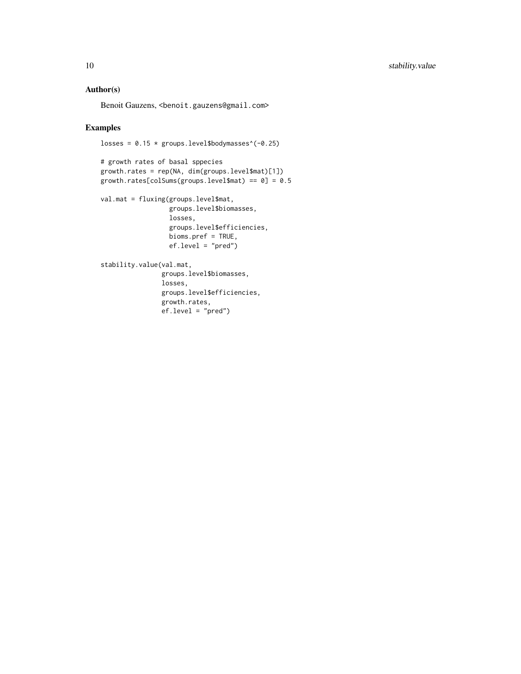#### Author(s)

Benoit Gauzens, <benoit.gauzens@gmail.com>

#### Examples

losses =  $0.15 *$  groups.level\$bodymasses^(-0.25)

```
# growth rates of basal sppecies
growth.rates = rep(NA, dim(groups.level$mat)[1])
growth.rates[colSums(groups.level$mat) == 0] = 0.5
```

```
val.mat = fluxing(groups.level$mat,
                  groups.level$biomasses,
                  losses,
                  groups.level$efficiencies,
                  bioms.pref = TRUE,
                  ef.level = "pred")
```

```
stability.value(val.mat,
                groups.level$biomasses,
               losses,
               groups.level$efficiencies,
               growth.rates,
               ef.level = "pred")
```